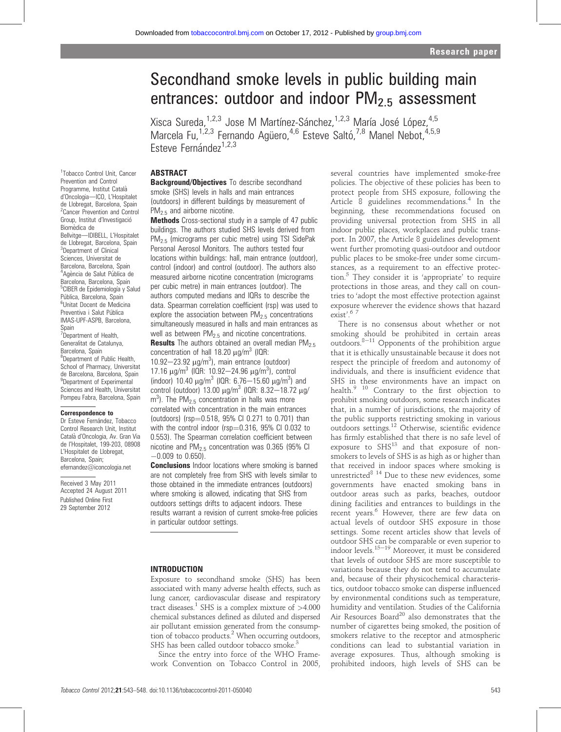# Secondhand smoke levels in public building main entrances: outdoor and indoor  $PM<sub>2.5</sub>$  assessment

Xisca Sureda,<sup>1,2,3</sup> Jose M Martínez-Sánchez,<sup>1,2,3</sup> María José López,<sup>4,5</sup> Marcela Fu,<sup>1,2,3</sup> Fernando Agüero,<sup>4,6</sup> Esteve Saltó,<sup>7,8</sup> Manel Nebot,<sup>4,5,9</sup> Esteve Fernández<sup>1,2,3</sup>

#### ABSTRACT

1 Tobacco Control Unit, Cancer Prevention and Control Programme, Institut Catala` d'Oncologia-ICO, L'Hospitalet de Llobregat, Barcelona, Spain 2 Cancer Prevention and Control Group, Institut d'Investigació Biomèdica de Bellvitge-IDIBELL, L'Hospitalet de Llobregat, Barcelona, Spain 3 Department of Clinical Sciences, Universitat de Barcelona, Barcelona, Spain <sup>4</sup>Agència de Salut Pública de Barcelona, Barcelona, Spain <sup>5</sup>CIBER de Epidemiología y Salud Pública, Barcelona, Spain Unitat Docent de Medicina Preventiva i Salut Pública IMAS-UPF-ASPB, Barcelona, Spain <sup>7</sup>Department of Health, Generalitat de Catalunya, Barcelona, Spain <sup>8</sup>Department of Public Health, School of Pharmacy, Universitat de Barcelona, Barcelona, Spain <sup>9</sup>Department of Experimental Sciences and Health, Universitat Pompeu Fabra, Barcelona, Spain

#### Correspondence to

Dr Esteve Fernández, Tobacco Control Research Unit, Institut Catala` d'Oncologia, Av. Gran Via de l'Hospitalet, 199-203, 08908 L'Hospitalet de Llobregat, Barcelona, Spain; efernandez@iconcologia.net

Received 3 May 2011 Accepted 24 August 2011 Published Online First 29 September 2012

Background/Objectives To describe secondhand smoke (SHS) levels in halls and main entrances (outdoors) in different buildings by measurement of PM<sub>2.5</sub> and airborne nicotine.

**Methods** Cross-sectional study in a sample of 47 public buildings. The authors studied SHS levels derived from PM<sub>2.5</sub> (micrograms per cubic metre) using TSI SidePak Personal Aerosol Monitors. The authors tested four locations within buildings: hall, main entrance (outdoor), control (indoor) and control (outdoor). The authors also measured airborne nicotine concentration (micrograms per cubic metre) in main entrances (outdoor). The authors computed medians and IQRs to describe the data. Spearman correlation coefficient (rsp) was used to explore the association between  $PM<sub>2.5</sub>$  concentrations simultaneously measured in halls and main entrances as well as between  $PM<sub>2.5</sub>$  and nicotine concentrations.

**Results** The authors obtained an overall median PM<sub>2.5</sub> concentration of hall 18.20  $\mu$ g/m<sup>3</sup> (IQR: 10.92 $-$ 23.92  $\mu$ g/m<sup>3</sup>), main entrance (outdoor) 17.16 μg/m<sup>3</sup> (IQR: 10.92-24.96 μg/m<sup>3</sup>), control (indoor) 10.40  $\mu$ g/m<sup>3</sup> (IQR: 6.76–15.60  $\mu$ g/m<sup>3</sup>) and control (outdoor) 13.00  $\mu$ g/m<sup>3</sup> (IQR: 8.32-18.72  $\mu$ g/  $m<sup>3</sup>$ ). The PM<sub>2.5</sub> concentration in halls was more correlated with concentration in the main entrances (outdoors) ( $rsp=0.518$ , 95% CI 0.271 to 0.701) than with the control indoor ( $rsp=0.316$ , 95% CI 0.032 to 0.553). The Spearman correlation coefficient between nicotine and  $PM_{2.5}$  concentration was 0.365 (95% CI  $-0.009$  to 0.650).

**Conclusions** Indoor locations where smoking is banned are not completely free from SHS with levels similar to those obtained in the immediate entrances (outdoors) where smoking is allowed, indicating that SHS from outdoors settings drifts to adjacent indoors. These results warrant a revision of current smoke-free policies in particular outdoor settings.

#### INTRODUCTION

Exposure to secondhand smoke (SHS) has been associated with many adverse health effects, such as lung cancer, cardiovascular disease and respiratory tract diseases.<sup>1</sup> SHS is a complex mixture of  $>4.000$ chemical substances defined as diluted and dispersed air pollutant emission generated from the consumption of tobacco products.<sup>2</sup> When occurring outdoors, SHS has been called outdoor tobacco smoke.<sup>3</sup>

Since the entry into force of the WHO Framework Convention on Tobacco Control in 2005, several countries have implemented smoke-free policies. The objective of these policies has been to protect people from SHS exposure, following the Article 8 guidelines recommendations.<sup>4</sup> In the beginning, these recommendations focused on providing universal protection from SHS in all indoor public places, workplaces and public transport. In 2007, the Article 8 guidelines development went further promoting quasi-outdoor and outdoor public places to be smoke-free under some circumstances, as a requirement to an effective protection.<sup>5</sup> They consider it is 'appropriate' to require protections in those areas, and they call on countries to 'adopt the most effective protection against exposure wherever the evidence shows that hazard exist'. 6 7

There is no consensus about whether or not smoking should be prohibited in certain areas outdoors.<sup>8-11</sup> Opponents of the prohibition argue that it is ethically unsustainable because it does not respect the principle of freedom and autonomy of individuals, and there is insufficient evidence that SHS in these environments have an impact on health.9 10 Contrary to the first objection to prohibit smoking outdoors, some research indicates that, in a number of jurisdictions, the majority of the public supports restricting smoking in various outdoors settings.<sup>12</sup> Otherwise, scientific evidence has firmly established that there is no safe level of exposure to  $SHS<sup>13</sup>$  and that exposure of nonsmokers to levels of SHS is as high as or higher than that received in indoor spaces where smoking is unrestricted<sup>8 14</sup> Due to these new evidences, some governments have enacted smoking bans in outdoor areas such as parks, beaches, outdoor dining facilities and entrances to buildings in the recent years.<sup>6</sup> However, there are few data on actual levels of outdoor SHS exposure in those settings. Some recent articles show that levels of outdoor SHS can be comparable or even superior to indoor levels. $15-19$  Moreover, it must be considered that levels of outdoor SHS are more susceptible to variations because they do not tend to accumulate and, because of their physicochemical characteristics, outdoor tobacco smoke can disperse influenced by environmental conditions such as temperature, humidity and ventilation. Studies of the California Air Resources Board<sup>20</sup> also demonstrates that the number of cigarettes being smoked, the position of smokers relative to the receptor and atmospheric conditions can lead to substantial variation in average exposures. Thus, although smoking is prohibited indoors, high levels of SHS can be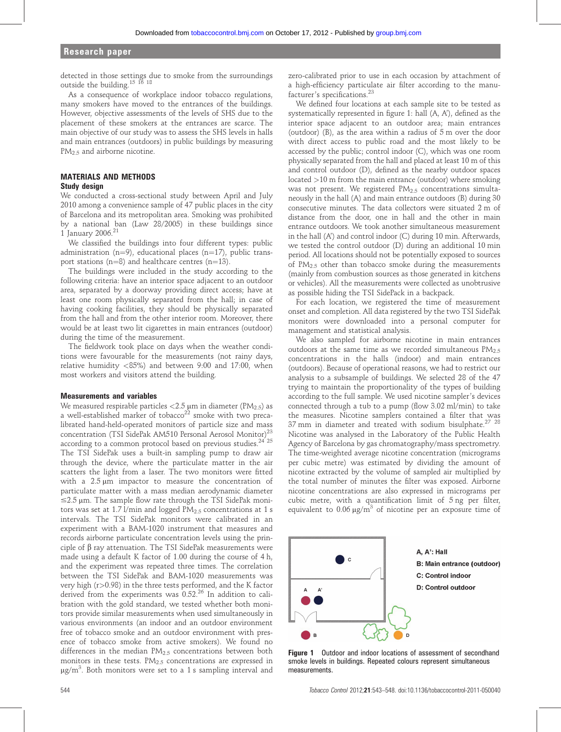detected in those settings due to smoke from the surroundings outside the building.<sup>15 16</sup><sup>18</sup>

As a consequence of workplace indoor tobacco regulations, many smokers have moved to the entrances of the buildings. However, objective assessments of the levels of SHS due to the placement of these smokers at the entrances are scarce. The main objective of our study was to assess the SHS levels in halls and main entrances (outdoors) in public buildings by measuring PM<sub>2.5</sub> and airborne nicotine.

#### MATERIALS AND METHODS Study design

We conducted a cross-sectional study between April and July 2010 among a convenience sample of 47 public places in the city of Barcelona and its metropolitan area. Smoking was prohibited by a national ban (Law 28/2005) in these buildings since 1 January 2006.21

We classified the buildings into four different types: public administration (n=9), educational places (n=17), public transport stations ( $n=8$ ) and healthcare centres ( $n=13$ ).

The buildings were included in the study according to the following criteria: have an interior space adjacent to an outdoor area, separated by a doorway providing direct access; have at least one room physically separated from the hall; in case of having cooking facilities, they should be physically separated from the hall and from the other interior room. Moreover, there would be at least two lit cigarettes in main entrances (outdoor) during the time of the measurement.

The fieldwork took place on days when the weather conditions were favourable for the measurements (not rainy days, relative humidity <85%) and between 9:00 and 17:00, when most workers and visitors attend the building.

#### Measurements and variables

We measured respirable particles  $<$  2.5  $\mu$ m in diameter (PM<sub>2.5</sub>) as a well-established marker of tobacco<sup>22</sup> smoke with two precalibrated hand-held-operated monitors of particle size and mass concentration (TSI SidePak AM510 Personal Aerosol Monitor)<sup>23</sup> according to a common protocol based on previous studies.<sup>24'25</sup> The TSI SidePak uses a built-in sampling pump to draw air through the device, where the particulate matter in the air scatters the light from a laser. The two monitors were fitted with a  $2.5 \mu m$  impactor to measure the concentration of particulate matter with a mass median aerodynamic diameter  $\leq$ 2.5 µm. The sample flow rate through the TSI SidePak monitors was set at 1.7 l/min and logged  $PM<sub>2.5</sub>$  concentrations at 1 s intervals. The TSI SidePak monitors were calibrated in an experiment with a BAM-1020 instrument that measures and records airborne particulate concentration levels using the principle of  $\beta$  ray attenuation. The TSI SidePak measurements were made using a default K factor of 1.00 during the course of 4 h, and the experiment was repeated three times. The correlation between the TSI SidePak and BAM-1020 measurements was very high (r>0.98) in the three tests performed, and the K factor derived from the experiments was  $0.52<sup>26</sup>$  In addition to calibration with the gold standard, we tested whether both monitors provide similar measurements when used simultaneously in various environments (an indoor and an outdoor environment free of tobacco smoke and an outdoor environment with presence of tobacco smoke from active smokers). We found no differences in the median  $PM<sub>2.5</sub>$  concentrations between both monitors in these tests.  $PM<sub>2.5</sub>$  concentrations are expressed in  $\mu$ g/m<sup>3</sup>. Both monitors were set to a 1 s sampling interval and

zero-calibrated prior to use in each occasion by attachment of a high-efficiency particulate air filter according to the manufacturer's specifications.<sup>23</sup>

We defined four locations at each sample site to be tested as systematically represented in figure 1: hall (A, A'), defined as the interior space adjacent to an outdoor area; main entrances (outdoor) (B), as the area within a radius of 5 m over the door with direct access to public road and the most likely to be accessed by the public; control indoor (C), which was one room physically separated from the hall and placed at least 10 m of this and control outdoor (D), defined as the nearby outdoor spaces located >10 m from the main entrance (outdoor) where smoking was not present. We registered PM<sub>2.5</sub> concentrations simultaneously in the hall (A) and main entrance outdoors (B) during 30 consecutive minutes. The data collectors were situated 2 m of distance from the door, one in hall and the other in main entrance outdoors. We took another simultaneous measurement in the hall (A') and control indoor (C) during 10 min. Afterwards, we tested the control outdoor (D) during an additional 10 min period. All locations should not be potentially exposed to sources of PM2.5 other than tobacco smoke during the measurements (mainly from combustion sources as those generated in kitchens or vehicles). All the measurements were collected as unobtrusive as possible hiding the TSI SidePack in a backpack.

For each location, we registered the time of measurement onset and completion. All data registered by the two TSI SidePak monitors were downloaded into a personal computer for management and statistical analysis.

We also sampled for airborne nicotine in main entrances outdoors at the same time as we recorded simultaneous  $PM_{2.5}$ concentrations in the halls (indoor) and main entrances (outdoors). Because of operational reasons, we had to restrict our analysis to a subsample of buildings. We selected 28 of the 47 trying to maintain the proportionality of the types of building according to the full sample. We used nicotine sampler's devices connected through a tub to a pump (flow 3.02 ml/min) to take the measures. Nicotine samplers contained a filter that was 37 mm in diameter and treated with sodium bisulphate.<sup>27</sup> <sup>28</sup> Nicotine was analysed in the Laboratory of the Public Health Agency of Barcelona by gas chromatography/mass spectrometry. The time-weighted average nicotine concentration (micrograms per cubic metre) was estimated by dividing the amount of nicotine extracted by the volume of sampled air multiplied by the total number of minutes the filter was exposed. Airborne nicotine concentrations are also expressed in micrograms per cubic metre, with a quantification limit of 5 ng per filter, equivalent to  $0.06 \mu g/m^3$  of nicotine per an exposure time of



Figure 1 Outdoor and indoor locations of assessment of secondhand smoke levels in buildings. Repeated colours represent simultaneous measurements.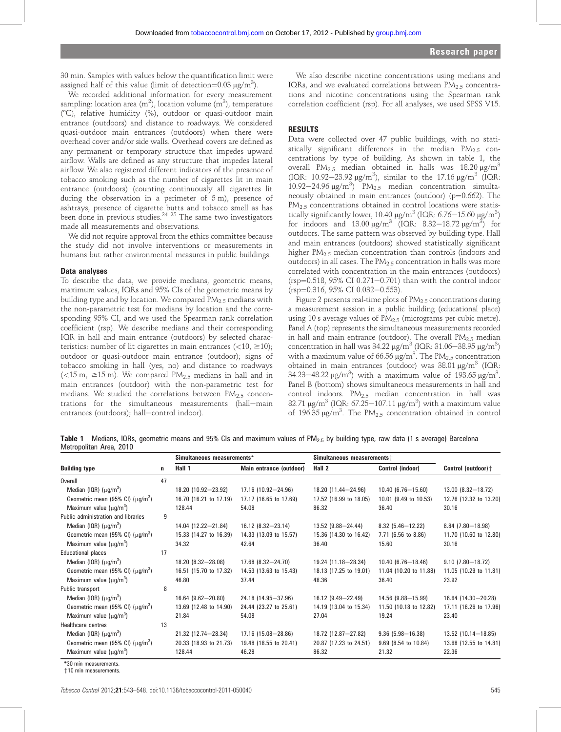30 min. Samples with values below the quantification limit were assigned half of this value (limit of detection= $0.03 \mu g/m^3$ ).

We recorded additional information for every measurement sampling: location area (m<sup>2</sup>), location volume (m<sup>3</sup>), temperature (8C), relative humidity (%), outdoor or quasi-outdoor main entrance (outdoors) and distance to roadways. We considered quasi-outdoor main entrances (outdoors) when there were overhead cover and/or side walls. Overhead covers are defined as any permanent or temporary structure that impedes upward airflow. Walls are defined as any structure that impedes lateral airflow. We also registered different indicators of the presence of tobacco smoking such as the number of cigarettes lit in main entrance (outdoors) (counting continuously all cigarettes lit during the observation in a perimeter of 5 m), presence of ashtrays, presence of cigarette butts and tobacco smell as has been done in previous studies. $2425$  The same two investigators made all measurements and observations.

We did not require approval from the ethics committee because the study did not involve interventions or measurements in humans but rather environmental measures in public buildings.

#### Data analyses

To describe the data, we provide medians, geometric means, maximum values, IQRs and 95% CIs of the geometric means by building type and by location. We compared  $PM_{2.5}$  medians with the non-parametric test for medians by location and the corresponding 95% CI, and we used the Spearman rank correlation coefficient (rsp). We describe medians and their corresponding IQR in hall and main entrance (outdoors) by selected characteristics: number of lit cigarettes in main entrances  $\left($  < 10,  $\geq$  10); outdoor or quasi-outdoor main entrance (outdoor); signs of tobacco smoking in hall (yes, no) and distance to roadways ( $\lt 15$  m,  $\ge 15$  m). We compared PM<sub>2.5</sub> medians in hall and in main entrances (outdoor) with the non-parametric test for medians. We studied the correlations between  $PM_{2.5}$  concentrations for the simultaneous measurements (hall-main entrances (outdoors); hall-control indoor).

We also describe nicotine concentrations using medians and IQRs, and we evaluated correlations between  $PM_{2.5}$  concentrations and nicotine concentrations using the Spearman rank correlation coefficient (rsp). For all analyses, we used SPSS V15.

#### RESULTS

Data were collected over 47 public buildings, with no statistically significant differences in the median  $PM_{2.5}$  concentrations by type of building. As shown in table 1, the overall PM<sub>2.5</sub> median obtained in halls was 18.20  $\mu$ g/m<sup>3</sup> (IQR: 10.92-23.92  $\mu$ g/m<sup>3</sup>), similar to the 17.16  $\mu$ g/m<sup>3</sup> (IQR: 10.92-24.96  $\mu$ g/m<sup>3</sup>) PM<sub>2.5</sub> median concentration simultaneously obtained in main entrances (outdoor) ( $p=0.662$ ). The  $PM<sub>2.5</sub>$  concentrations obtained in control locations were statistically significantly lower, 10.40  $\mu$ g/m<sup>3</sup> (IQR: 6.76–15.60  $\mu$ g/m<sup>3</sup>) for indoors and  $13.00 \,\mu\text{g/m}^3$  (IQR:  $8.32-18.72 \,\mu\text{g/m}^3$ ) for outdoors. The same pattern was observed by building type. Hall and main entrances (outdoors) showed statistically significant higher PM<sub>2.5</sub> median concentration than controls (indoors and outdoors) in all cases. The  $PM_{2.5}$  concentration in halls was more correlated with concentration in the main entrances (outdoors) ( $rsp=0.518$ ,  $95\%$  CI 0.271-0.701) than with the control indoor  $(rsp=0.316, 95\% \text{ CI } 0.032-0.553).$ 

Figure 2 presents real-time plots of  $PM<sub>2.5</sub>$  concentrations during a measurement session in a public building (educational place) using 10 s average values of  $PM_{2.5}$  (micrograms per cubic metre). Panel A (top) represents the simultaneous measurements recorded in hall and main entrance (outdoor). The overall  $PM<sub>2.5</sub>$  median concentration in hall was  $34.22 \text{ µg/m}^3$  (IQR:  $31.06-38.95 \text{ µg/m}^3$ ) with a maximum value of 66.56  $\mu$ g/m<sup>3</sup>. The PM<sub>2.5</sub> concentration obtained in main entrances (outdoor) was  $38.01 \mu g/m^3$  (IQR: 34.23–48.22  $\mu$ g/m<sup>3</sup>) with a maximum value of 193.65  $\mu$ g/m<sup>3</sup>. Panel B (bottom) shows simultaneous measurements in hall and control indoors.  $PM_{2.5}$  median concentration in hall was 82.71  $\mu$ g/m<sup>3</sup> (IQR: 67.25–107.11  $\mu$ g/m<sup>3</sup>) with a maximum value of 196.35  $\mu$ g/m<sup>3</sup>. The PM<sub>2.5</sub> concentration obtained in control

**Table 1** Medians, IQRs, geometric means and 95% CIs and maximum values of PM<sub>2.5</sub> by building type, raw data (1 s average) Barcelona Metropolitan Area, 2010

| <b>Building type</b>                  | n  | Simultaneous measurements* |                          | Simultaneous measurements+ |                        |                         |
|---------------------------------------|----|----------------------------|--------------------------|----------------------------|------------------------|-------------------------|
|                                       |    | Hall 1                     | Main entrance (outdoor)  | Hall 2                     | Control (indoor)       | Control (outdoor) +     |
| <b>Overall</b>                        | 47 |                            |                          |                            |                        |                         |
| Median (IQR) $(\mu q/m^3)$            |    | $18.20(10.92 - 23.92)$     | $17.16$ (10.92-24.96)    | 18.20 (11.44-24.96)        | $10.40(6.76 - 15.60)$  | $13.00(8.32 - 18.72)$   |
| Geometric mean (95% CI) $(\mu q/m^3)$ |    | 16.70 (16.21 to 17.19)     | 17.17 (16.65 to 17.69)   | 17.52 (16.99 to 18.05)     | 10.01 (9.49 to 10.53)  | 12.76 (12.32 to 13.20)  |
| Maximum value $(\mu q/m^3)$           |    | 128.44                     | 54.08                    | 86.32                      | 36.40                  | 30.16                   |
| Public administration and libraries   | 9  |                            |                          |                            |                        |                         |
| Median (IQR) $(\mu q/m^3)$            |    | $14.04$ (12.22-21.84)      | $16.12(8.32 - 23.14)$    | $13.52$ (9.88-24.44)       | $8.32(5.46 - 12.22)$   | $8.84$ (7.80 $-18.98$ ) |
| Geometric mean (95% CI) $(\mu q/m^3)$ |    | 15.33 (14.27 to 16.39)     | 14.33 (13.09 to 15.57)   | 15.36 (14.30 to 16.42)     | 7.71 (6.56 to 8.86)    | 11.70 (10.60 to 12.80)  |
| Maximum value $\mu q/m^3$ )           |    | 34.32                      | 42.64                    | 36.40                      | 15.60                  | 30.16                   |
| <b>Educational places</b>             | 17 |                            |                          |                            |                        |                         |
| Median (IQR) $(\mu q/m^3)$            |    | $18.20(8.32 - 28.08)$      | $17.68$ $(8.32 - 24.70)$ | 19.24 (11.18-28.34)        | $10.40(6.76 - 18.46)$  | $9.10(7.80 - 18.72)$    |
| Geometric mean (95% CI) $(\mu q/m^3)$ |    | 16.51 (15.70 to 17.32)     | 14.53 (13.63 to 15.43)   | 18.13 (17.25 to 19.01)     | 11.04 (10.20 to 11.88) | 11.05 (10.29 to 11.81)  |
| Maximum value $(\mu q/m^3)$           |    | 46.80                      | 37.44                    | 48.36                      | 36.40                  | 23.92                   |
| Public transport                      | 8  |                            |                          |                            |                        |                         |
| Median (IQR) $(\mu q/m^3)$            |    | $16.64$ (9.62-20.80)       | 24.18 (14.95-37.96)      | $16.12(9.49 - 22.49)$      | $14.56$ (9.88-15.99)   | $16.64$ (14.30-20.28)   |
| Geometric mean (95% CI) $(\mu q/m^3)$ |    | 13.69 (12.48 to 14.90)     | 24.44 (23.27 to 25.61)   | 14.19 (13.04 to 15.34)     | 11.50 (10.18 to 12.82) | 17.11 (16.26 to 17.96)  |
| Maximum value $(\mu q/m^3)$           |    | 21.84                      | 54.08                    | 27.04                      | 19.24                  | 23.40                   |
| Healthcare centres                    | 13 |                            |                          |                            |                        |                         |
| Median (IQR) $(\mu q/m^3)$            |    | $21.32$ (12.74-28.34)      | $17.16(15.08 - 28.86)$   | $18.72$ (12.87-27.82)      | $9.36(5.98 - 16.38)$   | $13.52$ (10.14 - 18.85) |
| Geometric mean (95% CI) $(\mu q/m^3)$ |    | 20.33 (18.93 to 21.73)     | 19.48 (18.55 to 20.41)   | 20.87 (17.23 to 24.51)     | 9.69 (8.54 to 10.84)   | 13.68 (12.55 to 14.81)  |
| Maximum value $(\mu q/m^3)$           |    | 128.44                     | 46.28                    | 86.32                      | 21.32                  | 22.36                   |

\*30 min measurements.

y10 min measurements.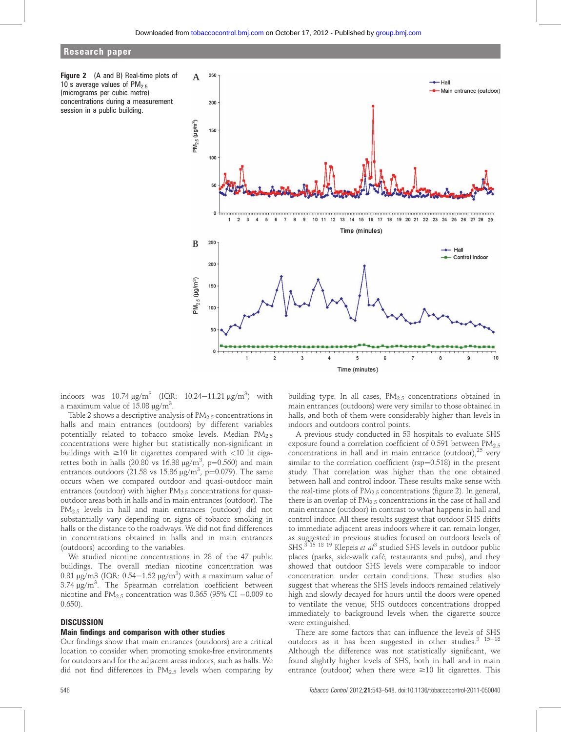### Research paper





indoors was  $10.74 \,\mathrm{\upmu g/m^3}$  (IQR:  $10.24-11.21 \,\mathrm{\upmu g/m^3}$ ) with a maximum value of  $15.08 \text{ }\mu\text{g/m}^3$ .

Table 2 shows a descriptive analysis of  $PM_{2.5}$  concentrations in halls and main entrances (outdoors) by different variables potentially related to tobacco smoke levels. Median  $PM_{2.5}$ concentrations were higher but statistically non-significant in buildings with  $\geq$ 10 lit cigarettes compared with  $\lt$ 10 lit cigarettes both in halls (20.80 vs 16.38  $\mu g/m^3$ , p=0.560) and main entrances outdoors (21.58 vs 15.86  $\mu$ g/m<sup>3</sup>, p=0.079). The same occurs when we compared outdoor and quasi-outdoor main entrances (outdoor) with higher  $PM<sub>2.5</sub>$  concentrations for quasioutdoor areas both in halls and in main entrances (outdoor). The PM2.5 levels in hall and main entrances (outdoor) did not substantially vary depending on signs of tobacco smoking in halls or the distance to the roadways. We did not find differences in concentrations obtained in halls and in main entrances (outdoors) according to the variables.

We studied nicotine concentrations in 28 of the 47 public buildings. The overall median nicotine concentration was 0.81  $\mu$ g/m3 (IQR: 0.54–1.52  $\mu$ g/m<sup>3</sup>) with a maximum value of  $3.74 \mu g/m^3$ . The Spearman correlation coefficient between nicotine and  $\text{PM}_{2.5}$  concentration was 0.365 (95% CI  $-0.009$  to 0.650).

#### **DISCUSSION**

#### Main findings and comparison with other studies

Our findings show that main entrances (outdoors) are a critical location to consider when promoting smoke-free environments for outdoors and for the adjacent areas indoors, such as halls. We did not find differences in  $PM<sub>2.5</sub>$  levels when comparing by building type. In all cases,  $PM_{2.5}$  concentrations obtained in main entrances (outdoors) were very similar to those obtained in halls, and both of them were considerably higher than levels in indoors and outdoors control points.

A previous study conducted in 53 hospitals to evaluate SHS exposure found a correlation coefficient of 0.591 between PM<sub>2.5</sub> concentrations in hall and in main entrance (outdoor), $^{25}$  very similar to the correlation coefficient ( $rsp=0.518$ ) in the present study. That correlation was higher than the one obtained between hall and control indoor. These results make sense with the real-time plots of  $PM<sub>2.5</sub>$  concentrations (figure 2). In general, there is an overlap of  $PM<sub>2.5</sub>$  concentrations in the case of hall and main entrance (outdoor) in contrast to what happens in hall and control indoor. All these results suggest that outdoor SHS drifts to immediate adjacent areas indoors where it can remain longer, as suggested in previous studies focused on outdoors levels of SHS. $375$ <sup>18</sup> <sup>19</sup> Klepeis et al<sup>3</sup> studied SHS levels in outdoor public places (parks, side-walk café, restaurants and pubs), and they showed that outdoor SHS levels were comparable to indoor concentration under certain conditions. These studies also suggest that whereas the SHS levels indoors remained relatively high and slowly decayed for hours until the doors were opened to ventilate the venue, SHS outdoors concentrations dropped immediately to background levels when the cigarette source were extinguished.

There are some factors that can influence the levels of SHS outdoors as it has been suggested in other studies. $3\frac{15-18}{15}$ Although the difference was not statistically significant, we found slightly higher levels of SHS, both in hall and in main entrance (outdoor) when there were  $\geq 10$  lit cigarettes. This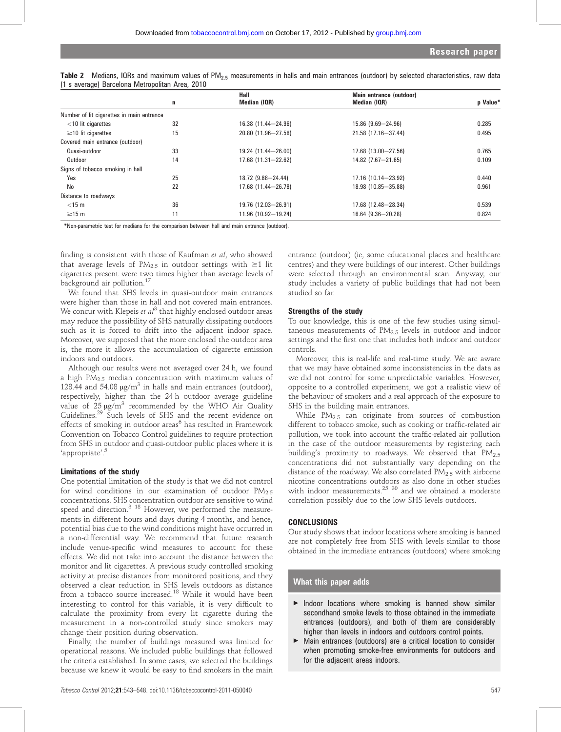|                                           |    | Hall                      | Main entrance (outdoor)  |          |  |
|-------------------------------------------|----|---------------------------|--------------------------|----------|--|
|                                           | n  | Median (IQR)              | Median (IQR)             | p Value* |  |
| Number of lit cigarettes in main entrance |    |                           |                          |          |  |
| $<$ 10 lit cigarettes                     | 32 | $16.38$ $(11.44 - 24.96)$ | $15.86$ $(9.69 - 24.96)$ | 0.285    |  |
| $\geq$ 10 lit cigarettes                  | 15 | $20.80(11.96 - 27.56)$    | 21.58 (17.16-37.44)      | 0.495    |  |
| Covered main entrance (outdoor)           |    |                           |                          |          |  |
| Quasi-outdoor                             | 33 | $19.24$ (11.44 - 26.00)   | $17.68$ (13.00 - 27.56)  | 0.765    |  |
| Outdoor                                   | 14 | $17.68$ $(11.31 - 22.62)$ | $14.82$ $(7.67 - 21.65)$ | 0.109    |  |
| Signs of tobacco smoking in hall          |    |                           |                          |          |  |
| Yes                                       | 25 | $18.72$ (9.88 - 24.44)    | $17.16$ (10.14 - 23.92)  | 0.440    |  |
| No                                        | 22 | $17.68$ (11.44 - 26.78)   | 18.98 (10.85-35.88)      | 0.961    |  |
| Distance to roadways                      |    |                           |                          |          |  |
| $<$ 15 m                                  | 36 | $19.76$ (12.03 - 26.91)   | $17.68$ (12.48-28.34)    | 0.539    |  |
| $\geq$ 15 m                               | 11 | $11.96$ (10.92-19.24)     | $16.64$ (9.36 - 20.28)   | 0.824    |  |

Table 2 Medians, IQRs and maximum values of PM $_{2.5}$  measurements in halls and main entrances (outdoor) by selected characteristics, raw data (1 s average) Barcelona Metropolitan Area, 2010

\*Non-parametric test for medians for the comparison between hall and main entrance (outdoor).

finding is consistent with those of Kaufman et al, who showed that average levels of  $PM_{2.5}$  in outdoor settings with  $\geq 1$  lit cigarettes present were two times higher than average levels of background air pollution.<sup>17</sup>

We found that SHS levels in quasi-outdoor main entrances were higher than those in hall and not covered main entrances. We concur with Klepeis et  $al^3$  that highly enclosed outdoor areas may reduce the possibility of SHS naturally dissipating outdoors such as it is forced to drift into the adjacent indoor space. Moreover, we supposed that the more enclosed the outdoor area is, the more it allows the accumulation of cigarette emission indoors and outdoors.

Although our results were not averaged over 24 h, we found a high  $PM<sub>2.5</sub>$  median concentration with maximum values of 128.44 and 54.08  $\mu$ g/m<sup>3</sup> in halls and main entrances (outdoor), respectively, higher than the 24 h outdoor average guideline value of  $25 \mu g/m^3$  recommended by the WHO Air Quality Guidelines.<sup>29</sup> Such levels of SHS and the recent evidence on effects of smoking in outdoor areas<sup>6</sup> has resulted in Framework Convention on Tobacco Control guidelines to require protection from SHS in outdoor and quasi-outdoor public places where it is 'appropriate'.<sup>5</sup>

#### Limitations of the study

One potential limitation of the study is that we did not control for wind conditions in our examination of outdoor  $PM_{2.5}$ concentrations. SHS concentration outdoor are sensitive to wind speed and direction.<sup>3</sup> <sup>18</sup> However, we performed the measurements in different hours and days during 4 months, and hence, potential bias due to the wind conditions might have occurred in a non-differential way. We recommend that future research include venue-specific wind measures to account for these effects. We did not take into account the distance between the monitor and lit cigarettes. A previous study controlled smoking activity at precise distances from monitored positions, and they observed a clear reduction in SHS levels outdoors as distance from a tobacco source increased.<sup>18</sup> While it would have been interesting to control for this variable, it is very difficult to calculate the proximity from every lit cigarette during the measurement in a non-controlled study since smokers may change their position during observation.

Finally, the number of buildings measured was limited for operational reasons. We included public buildings that followed the criteria established. In some cases, we selected the buildings because we knew it would be easy to find smokers in the main

entrance (outdoor) (ie, some educational places and healthcare centres) and they were buildings of our interest. Other buildings were selected through an environmental scan. Anyway, our study includes a variety of public buildings that had not been studied so far.

#### Strengths of the study

To our knowledge, this is one of the few studies using simultaneous measurements of  $PM<sub>2.5</sub>$  levels in outdoor and indoor settings and the first one that includes both indoor and outdoor controls.

Moreover, this is real-life and real-time study. We are aware that we may have obtained some inconsistencies in the data as we did not control for some unpredictable variables. However, opposite to a controlled experiment, we got a realistic view of the behaviour of smokers and a real approach of the exposure to SHS in the building main entrances.

While PM2.5 can originate from sources of combustion different to tobacco smoke, such as cooking or traffic-related air pollution, we took into account the traffic-related air pollution in the case of the outdoor measurements by registering each building's proximity to roadways. We observed that  $PM_{2.5}$ concentrations did not substantially vary depending on the distance of the roadway. We also correlated  $PM_{2.5}$  with airborne nicotine concentrations outdoors as also done in other studies with indoor measurements. $2530$  and we obtained a moderate correlation possibly due to the low SHS levels outdoors.

#### **CONCLUSIONS**

Our study shows that indoor locations where smoking is banned are not completely free from SHS with levels similar to those obtained in the immediate entrances (outdoors) where smoking

#### What this paper adds

- $\blacktriangleright$  Indoor locations where smoking is banned show similar secondhand smoke levels to those obtained in the immediate entrances (outdoors), and both of them are considerably higher than levels in indoors and outdoors control points.
- Main entrances (outdoors) are a critical location to consider when promoting smoke-free environments for outdoors and for the adjacent areas indoors.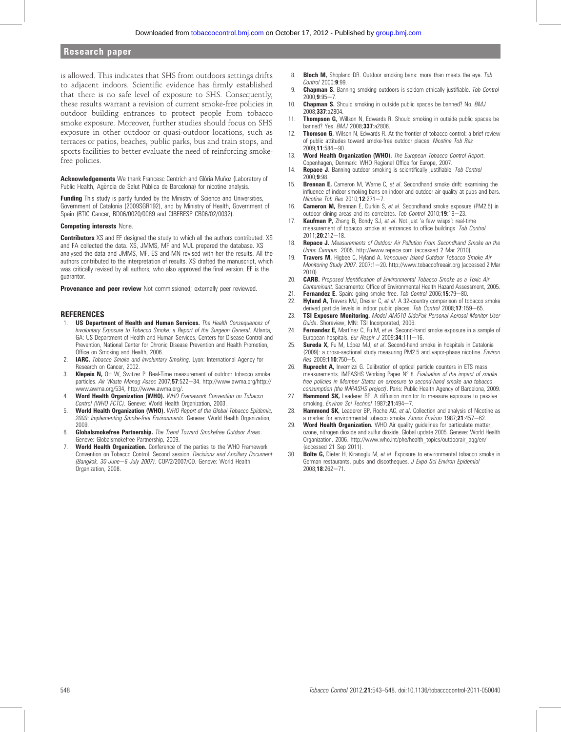#### Research paper

is allowed. This indicates that SHS from outdoors settings drifts to adjacent indoors. Scientific evidence has firmly established that there is no safe level of exposure to SHS. Consequently, these results warrant a revision of current smoke-free policies in outdoor building entrances to protect people from tobacco smoke exposure. Moreover, further studies should focus on SHS exposure in other outdoor or quasi-outdoor locations, such as terraces or patios, beaches, public parks, bus and train stops, and sports facilities to better evaluate the need of reinforcing smokefree policies.

Acknowledgements We thank Francesc Centrich and Glòria Muñoz (Laboratory of Public Health, Agència de Salut Pública de Barcelona) for nicotine analysis.

Funding This study is partly funded by the Ministry of Science and Universities, Government of Catalonia (2009SGR192), and by Ministry of Health, Government of Spain (RTIC Cancer, RD06/0020/0089 and CIBERESP CB06/02/0032).

#### Competing interests None.

Contributors XS and EF designed the study to which all the authors contributed. XS and FA collected the data. XS, JMMS, MF and MJL prepared the database. XS analysed the data and JMMS, MF, ES and MN revised with her the results. All the authors contributed to the interpretation of results. XS drafted the manuscript, which was critically revised by all authors, who also approved the final version. EF is the guarantor.

Provenance and peer review Not commissioned; externally peer reviewed.

#### **REFERENCES**

- **US Department of Health and Human Services.** The Health Consequences of Involuntary Exposure to Tobacco Smoke: a Report of the Surgeon General. Atlanta, GA: US Department of Health and Human Services, Centers for Disease Control and Prevention, National Center for Chronic Disease Prevention and Health Promotion, Office on Smoking and Health, 2006.
- 2. **IARC.** Tobacco Smoke and Involuntary Smoking. Lyon: International Agency for Research on Cancer, 2002.
- 3. **Klepeis N,** Ott W, Switzer P. Real-Time measurement of outdoor tobacco smoke particles. Air Waste Manag Assoc 2007;57:522-34. http://www.awma.org/http:// www.awma.org/534, http://www.awma.org/.
- 4. Word Health Organization (WHO). WHO Framework Convention on Tobacco Control (WHO FCTC). Geneve: World Health Organization, 2003.
- 5. World Health Organization (WHO). WHO Report of the Global Tobacco Epidemic, 2009: Implementing Smoke-free Environments. Geneve: World Health Organization, 2009.
- 6. Globalsmokefree Partnership. The Trend Toward Smokefree Outdoor Areas. Geneve: Globalsmokefree Partnership, 2009.
- 7. World Health Organization. Conference of the parties to the WHO Framework Convention on Tobacco Control. Second session. Decisions and Ancillary Document (Bangkok, 30 June-6 July 2007). COP/2/2007/CD. Geneve: World Health Organization, 2008.
- 8. **Bloch M.** Shopland DR. Outdoor smoking bans: more than meets the eye. Tob Control 2000;9:99.
- 9. **Chapman S.** Banning smoking outdoors is seldom ethically justifiable. Tob Control  $2000;9:95-7$
- 10. **Chapman S.** Should smoking in outside public spaces be banned? No. BMJ 2008;337:a2804.
- 11. Thompson G, Willson N, Edwards R. Should smoking in outside public spaces be banned? Yes. BMJ 2008;337:a2806.
- 12. Thomson G, Wilson N, Edwards R. At the frontier of tobacco control: a brief review of public attitudes toward smoke-free outdoor places. Nicotine Tob Res  $2009:11:584-90.$
- 13. Word Health Organization (WHO). The European Tobacco Control Report. Copenhagen, Denmark: WHO Regional Office for Europe, 2007.
- 14. Repace J. Banning outdoor smoking is scientifically justifiable. Tob Control 2000;9:98.
- 15. Brennan E, Cameron M, Warne C, et al. Secondhand smoke drift: examining the influence of indoor smoking bans on indoor and outdoor air quality at pubs and bars. Nicotine Tob Res 2010; $12:271 - 7$ .
- 16. **Cameron M,** Brennan E, Durkin S, et al. Secondhand smoke exposure (PM2.5) in outdoor dining areas and its correlates. Tob Control  $2010; 19:19-23$ .
- 17. **Kaufman P,** Zhang B, Bondy SJ, et al. Not just 'a few wisps': real-time measurement of tobacco smoke at entrances to office buildings. Tob Control  $2011:20:212-18$
- 18. Repace J. Measurements of Outdoor Air Pollution From Secondhand Smoke on the Umbc Campus. 2005. http://www.repace.com (accessed 2 Mar 2010).
- 19. Travers M, Higbee C, Hyland A. Vancouver Island Outdoor Tobacco Smoke Air Monitoring Study 2007. 2007:1-20. http://www.tobaccofreeair.org (accessed 2 Mar 2010).
- 20. **CARB.** Proposed Identification of Environmental Tobacco Smoke as a Toxic Air Contaminant. Sacramento: Office of Environmental Health Hazard Assessment, 2005.
- 21. Fernandez E. Spain: going smoke free. Tob Control 2006;15:79-80.
- 22. Hyland A, Travers MJ, Dresler C, et al. A 32-country comparison of tobacco smoke derived particle levels in indoor public places. Tob Control 2008;17:159-65
- 23. TSI Exposure Monitoring. Model AM510 SidePak Personal Aerosol Monitor User Guide. Shoreview, MN: TSI Incorporated, 2006.
- 24. Fernandez E, Martínez C, Fu M, et al. Second-hand smoke exposure in a sample of European hospitals. Eur Respir J 2009;34:111-16.
- 25. Sureda X, Fu M, López MJ, et al. Second-hand smoke in hospitals in Catalonia (2009): a cross-sectional study measuring PM2.5 and vapor-phase nicotine. Environ Res 2009;110:750-5.
- 26. **Ruprecht A,** Invernizzi G. Calibration of optical particle counters in ETS mass measurements. IMPASHS Working Paper N° 8. Evaluation of the impact of smoke free policies in Member States on exposure to second-hand smoke and tobacco consumption (the IMPASHS project). Paris: Public Health Agency of Barcelona, 2009.
- 27. **Hammond SK,** Leaderer BP. A diffusion monitor to measure exposure to passive smoking. Environ Sci Technol 1987;21:494-7.
- 28. **Hammond SK,** Leaderer BP, Roche AC, et al. Collection and analysis of Nicotine as a marker for environmental tobacco smoke. Atmos Environ 1987;21:457-62.
- 29. Word Health Organization. WHO Air quality guidelines for particulate matter, ozone, nitrogen dioxide and sulfur dioxide. Global update 2005. Geneve: World Health Organization, 2006. http://www.who.int/phe/health\_topics/outdoorair\_aqg/en/ (accessed 21 Sep 2011).
- 30. Bolte G, Dieter H, Kiranoglu M, et al. Exposure to environmental tobacco smoke in German restaurants, pubs and discotheques. J Expo Sci Environ Epidemiol 2008:18:262-71.